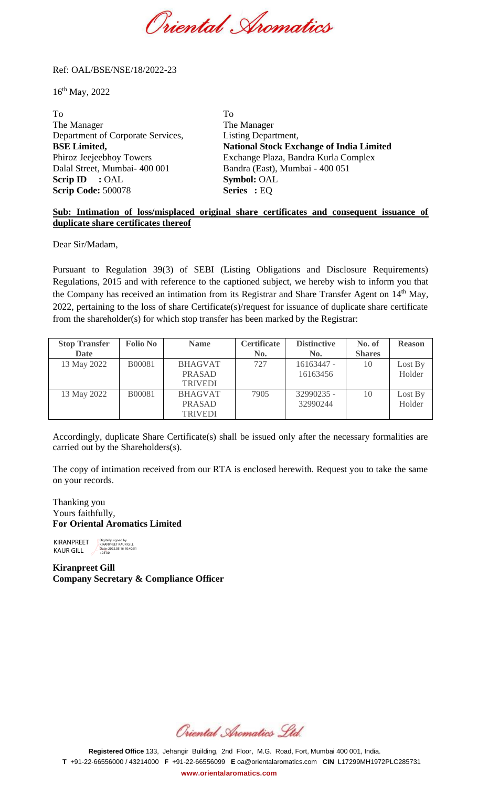Oriental Spomatics

### Ref: OAL/BSE/NSE/18/2022-23

16th May, 2022

To To The Manager The Manager Department of Corporate Services, Listing Department, **BSE Limited, National Stock Exchange of India Limited**  Phiroz Jeejeebhoy Towers Exchange Plaza, Bandra Kurla Complex Dalal Street, Mumbai- 400 001 Bandra (East), Mumbai - 400 051 **Scrip ID** : OAL **Symbol:** OAL **Scrip Code:** 500078 **Series :** EQ

## **Sub: Intimation of loss/misplaced original share certificates and consequent issuance of duplicate share certificates thereof**

Dear Sir/Madam,

Pursuant to Regulation 39(3) of SEBI (Listing Obligations and Disclosure Requirements) Regulations, 2015 and with reference to the captioned subject, we hereby wish to inform you that the Company has received an intimation from its Registrar and Share Transfer Agent on 14<sup>th</sup> May, 2022, pertaining to the loss of share Certificate(s)/request for issuance of duplicate share certificate from the shareholder(s) for which stop transfer has been marked by the Registrar:

| <b>Stop Transfer</b> | <b>Folio No</b> | <b>Name</b>    | <b>Certificate</b> | <b>Distinctive</b> | No. of        | <b>Reason</b> |
|----------------------|-----------------|----------------|--------------------|--------------------|---------------|---------------|
| <b>Date</b>          |                 |                | No.                | No.                | <b>Shares</b> |               |
| 13 May 2022          | <b>B00081</b>   | <b>BHAGVAT</b> | 727                | 16163447 -         | 10            | Lost By       |
|                      |                 | <b>PRASAD</b>  |                    | 16163456           |               | Holder        |
|                      |                 | <b>TRIVEDI</b> |                    |                    |               |               |
| 13 May 2022          | <b>B00081</b>   | <b>BHAGVAT</b> | 7905               | 32990235 -         | 10            | Lost By       |
|                      |                 | <b>PRASAD</b>  |                    | 32990244           |               | Holder        |
|                      |                 | <b>TRIVEDI</b> |                    |                    |               |               |

Accordingly, duplicate Share Certificate(s) shall be issued only after the necessary formalities are carried out by the Shareholders(s).

The copy of intimation received from our RTA is enclosed herewith. Request you to take the same on your records.

Thanking you Yours faithfully, **For Oriental Aromatics Limited**

KIRANPREET KAUR GILL Digitally signed by KIRANPREET KAUR GILL Date: 2022.05.16 10:40:51 +05'30'

**Kiranpreet Gill Company Secretary & Compliance Officer**

Oriental Aromatics Std.

**Registered Office** 133, Jehangir Building, 2nd Floor, M.G. Road, Fort, Mumbai 400 001, India. **T** +91-22-66556000 / 43214000 **F** +91-22-66556099 **E** [oa@orientalaromatics.com](mailto:oa@orlentalaromatics.com) **CIN** L17299MH1972PLC285731 **[www.orientalaromatics.com](http://www.orlentalaromatlcs.com/)**